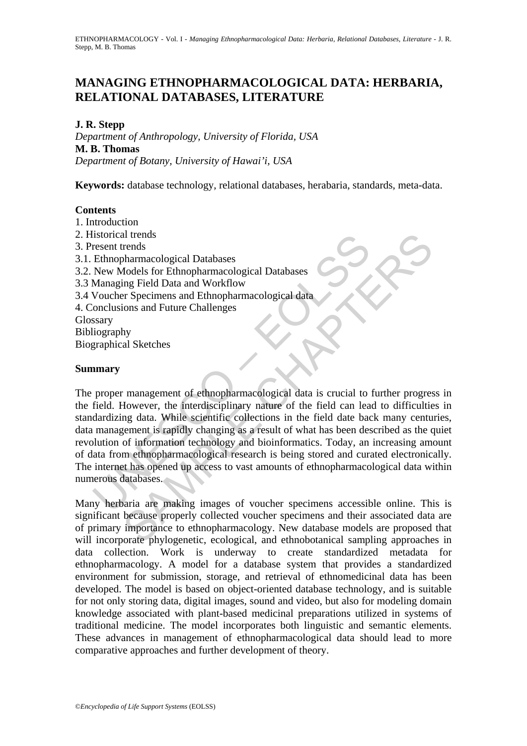# **MANAGING ETHNOPHARMACOLOGICAL DATA: HERBARIA, RELATIONAL DATABASES, LITERATURE**

#### **J. R. Stepp**

*Department of Anthropology, University of Florida, USA* **M. B. Thomas**  *Department of Botany, University of Hawai'i, USA*

**Keywords:** database technology, relational databases, herabaria, standards, meta-data.

#### **Contents**

- 1. Introduction
- 2. Historical trends
- 3. Present trends
- 3.1. Ethnopharmacological Databases
- 3.2. New Models for Ethnopharmacological Databases
- 3.3 Managing Field Data and Workflow
- 3.4 Voucher Specimens and Ethnopharmacological data
- 4. Conclusions and Future Challenges
- **Glossary**

Bibliography

Biographical Sketches

#### **Summary**

Instorical trends<br>
Ethnopharmacological Databases<br>
Ethnopharmacological Databases<br>
New Models for Ethnopharmacological Databases<br>
Managing Field Data and Workflow<br>
Voucher Specimens and Ethnopharmacological data<br>
ionclusio and the management of ethnopharmacological Databases<br>
Models for Ethnopharmacological Databases<br>
Sharmacological Databases<br>
Sharmacological Databases<br>
Sharmacological data<br>
Sharmacological data<br>
Sharmacological data<br>
Sharm The proper management of ethnopharmacological data is crucial to further progress in the field. However, the interdisciplinary nature of the field can lead to difficulties in standardizing data. While scientific collections in the field date back many centuries, data management is rapidly changing as a result of what has been described as the quiet revolution of information technology and bioinformatics. Today, an increasing amount of data from ethnopharmacological research is being stored and curated electronically. The internet has opened up access to vast amounts of ethnopharmacological data within numerous databases.

Many herbaria are making images of voucher specimens accessible online. This is significant because properly collected voucher specimens and their associated data are of primary importance to ethnopharmacology. New database models are proposed that will incorporate phylogenetic, ecological, and ethnobotanical sampling approaches in data collection. Work is underway to create standardized metadata for ethnopharmacology. A model for a database system that provides a standardized environment for submission, storage, and retrieval of ethnomedicinal data has been developed. The model is based on object-oriented database technology, and is suitable for not only storing data, digital images, sound and video, but also for modeling domain knowledge associated with plant-based medicinal preparations utilized in systems of traditional medicine. The model incorporates both linguistic and semantic elements. These advances in management of ethnopharmacological data should lead to more comparative approaches and further development of theory.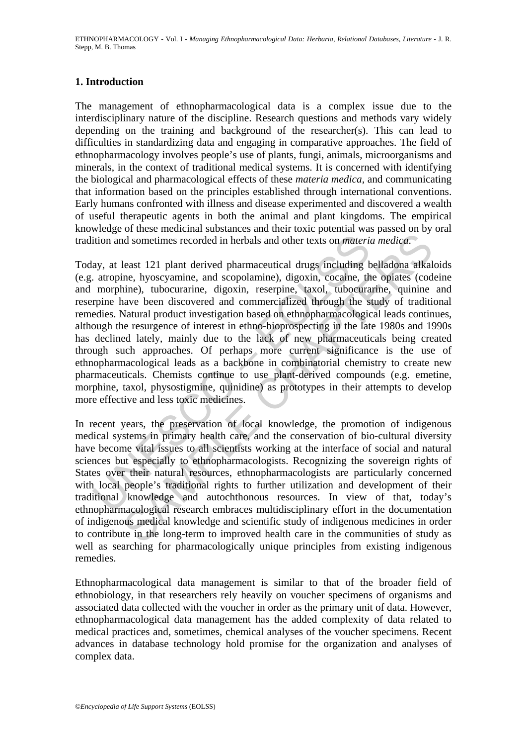ETHNOPHARMACOLOGY - Vol. I - *Managing Ethnopharmacological Data: Herbaria, Relational Databases, Literature* - J. R. Stepp, M. B. Thomas

#### **1. Introduction**

The management of ethnopharmacological data is a complex issue due to the interdisciplinary nature of the discipline. Research questions and methods vary widely depending on the training and background of the researcher(s). This can lead to difficulties in standardizing data and engaging in comparative approaches. The field of ethnopharmacology involves people's use of plants, fungi, animals, microorganisms and minerals, in the context of traditional medical systems. It is concerned with identifying the biological and pharmacological effects of these *materia medica*, and communicating that information based on the principles established through international conventions. Early humans confronted with illness and disease experimented and discovered a wealth of useful therapeutic agents in both the animal and plant kingdoms. The empirical knowledge of these medicinal substances and their toxic potential was passed on by oral tradition and sometimes recorded in herbals and other texts on *materia medica*.

ition and sometimes recorded in herbals and other texts on *materiay*, at least 121 plant derived pharmaceutical drugs including b. atropine, hyoscyamine, and scopolamine), digoxin, cocaine, the morphine), tubocurarie, dig d sometimes recorded in herbals and other texts on *materia medica*.<br>Least 121 plant derived pharmaceutical drugs including belladona atkalne, hyoscyamine, and scopolamine), digoxin, cocaine, the optates (cod<br>nine), tubocu Today, at least 121 plant derived pharmaceutical drugs including belladona alkaloids (e.g. atropine, hyoscyamine, and scopolamine), digoxin, cocaine, the opiates (codeine and morphine), tubocurarine, digoxin, reserpine, taxol, tubocurarine, quinine and reserpine have been discovered and commercialized through the study of traditional remedies. Natural product investigation based on ethnopharmacological leads continues, although the resurgence of interest in ethno-bioprospecting in the late 1980s and 1990s has declined lately, mainly due to the lack of new pharmaceuticals being created through such approaches. Of perhaps more current significance is the use of ethnopharmacological leads as a backbone in combinatorial chemistry to create new pharmaceuticals. Chemists continue to use plant-derived compounds (e.g. emetine, morphine, taxol, physostigmine, quinidine) as prototypes in their attempts to develop more effective and less toxic medicines.

In recent years, the preservation of local knowledge, the promotion of indigenous medical systems in primary health care, and the conservation of bio-cultural diversity have become vital issues to all scientists working at the interface of social and natural sciences but especially to ethnopharmacologists. Recognizing the sovereign rights of States over their natural resources, ethnopharmacologists are particularly concerned with local people's traditional rights to further utilization and development of their traditional knowledge and autochthonous resources. In view of that, today's ethnopharmacological research embraces multidisciplinary effort in the documentation of indigenous medical knowledge and scientific study of indigenous medicines in order to contribute in the long-term to improved health care in the communities of study as well as searching for pharmacologically unique principles from existing indigenous remedies.

Ethnopharmacological data management is similar to that of the broader field of ethnobiology, in that researchers rely heavily on voucher specimens of organisms and associated data collected with the voucher in order as the primary unit of data. However, ethnopharmacological data management has the added complexity of data related to medical practices and, sometimes, chemical analyses of the voucher specimens. Recent advances in database technology hold promise for the organization and analyses of complex data.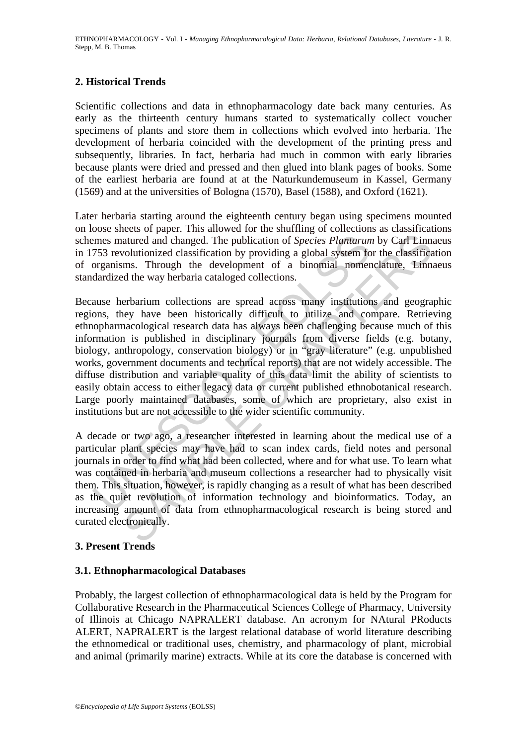### **2. Historical Trends**

Scientific collections and data in ethnopharmacology date back many centuries. As early as the thirteenth century humans started to systematically collect voucher specimens of plants and store them in collections which evolved into herbaria. The development of herbaria coincided with the development of the printing press and subsequently, libraries. In fact, herbaria had much in common with early libraries because plants were dried and pressed and then glued into blank pages of books. Some of the earliest herbaria are found at at the Naturkundemuseum in Kassel, Germany (1569) and at the universities of Bologna (1570), Basel (1588), and Oxford (1621).

Later herbaria starting around the eighteenth century began using specimens mounted on loose sheets of paper. This allowed for the shuffling of collections as classifications schemes matured and changed. The publication of *Species Plantarum* by Carl Linnaeus in 1753 revolutionized classification by providing a global system for the classification of organisms. Through the development of a binomial nomenclature, Linnaeus standardized the way herbaria cataloged collections.

The means matured and changed. The publication of *Species Plantarum*<br>753 revolutionized classification by providing a global system for<br>ganisms. Through the development of a binomial nomer<br>dardized the way herbaria catalo Example and changed. The publication of *Species Plantarum* by Carl Linn, a changed. The publication of *Species Plantarum* by Carl Linn, colutionized classification by providing a global system for the classifications. Th Because herbarium collections are spread across many institutions and geographic regions, they have been historically difficult to utilize and compare. Retrieving ethnopharmacological research data has always been challenging because much of this information is published in disciplinary journals from diverse fields (e.g. botany, biology, anthropology, conservation biology) or in "gray literature" (e.g. unpublished works, government documents and technical reports) that are not widely accessible. The diffuse distribution and variable quality of this data limit the ability of scientists to easily obtain access to either legacy data or current published ethnobotanical research. Large poorly maintained databases, some of which are proprietary, also exist in institutions but are not accessible to the wider scientific community.

A decade or two ago, a researcher interested in learning about the medical use of a particular plant species may have had to scan index cards, field notes and personal journals in order to find what had been collected, where and for what use. To learn what was contained in herbaria and museum collections a researcher had to physically visit them. This situation, however, is rapidly changing as a result of what has been described as the quiet revolution of information technology and bioinformatics. Today, an increasing amount of data from ethnopharmacological research is being stored and curated electronically.

### **3. Present Trends**

### **3.1. Ethnopharmacological Databases**

Probably, the largest collection of ethnopharmacological data is held by the Program for Collaborative Research in the Pharmaceutical Sciences College of Pharmacy, University of Illinois at Chicago NAPRALERT database. An acronym for NAtural PRoducts ALERT, NAPRALERT is the largest relational database of world literature describing the ethnomedical or traditional uses, chemistry, and pharmacology of plant, microbial and animal (primarily marine) extracts. While at its core the database is concerned with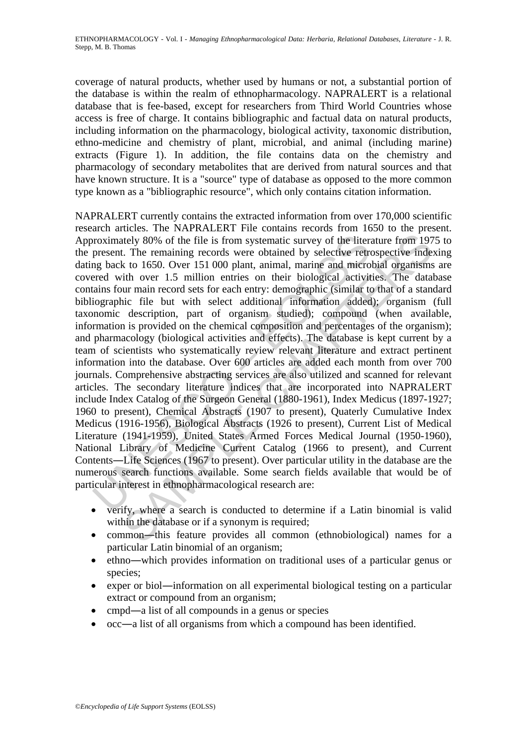coverage of natural products, whether used by humans or not, a substantial portion of the database is within the realm of ethnopharmacology. NAPRALERT is a relational database that is fee-based, except for researchers from Third World Countries whose access is free of charge. It contains bibliographic and factual data on natural products, including information on the pharmacology, biological activity, taxonomic distribution, ethno-medicine and chemistry of plant, microbial, and animal (including marine) extracts (Figure 1). In addition, the file contains data on the chemistry and pharmacology of secondary metabolites that are derived from natural sources and that have known structure. It is a "source" type of database as opposed to the more common type known as a "bibliographic resource", which only contains citation information.

proximately 80% of the file is from systematic survey of the liter<br>present. The remaining records were obtained by selective retre<br>grade with over 1.5 million entries on their biological activit<br>read with over 1.5 million tlety 80% of the file is from systematic survey of the literature from 197<br>the state of the file is from systematic survey of the literature from 197<br>t. The remaining records were obtained by selective retrospective inde<br>t NAPRALERT currently contains the extracted information from over 170,000 scientific research articles. The NAPRALERT File contains records from 1650 to the present. Approximately 80% of the file is from systematic survey of the literature from 1975 to the present. The remaining records were obtained by selective retrospective indexing dating back to 1650. Over 151 000 plant, animal, marine and microbial organisms are covered with over 1.5 million entries on their biological activities. The database contains four main record sets for each entry: demographic (similar to that of a standard bibliographic file but with select additional information added); organism (full taxonomic description, part of organism studied); compound (when available, information is provided on the chemical composition and percentages of the organism); and pharmacology (biological activities and effects). The database is kept current by a team of scientists who systematically review relevant literature and extract pertinent information into the database. Over 600 articles are added each month from over 700 journals. Comprehensive abstracting services are also utilized and scanned for relevant articles. The secondary literature indices that are incorporated into NAPRALERT include Index Catalog of the Surgeon General (1880-1961), Index Medicus (1897-1927; 1960 to present), Chemical Abstracts (1907 to present), Quaterly Cumulative Index Medicus (1916-1956), Biological Abstracts (1926 to present), Current List of Medical Literature (1941-1959), United States Armed Forces Medical Journal (1950-1960), National Library of Medicine Current Catalog (1966 to present), and Current Contents―Life Sciences (1967 to present). Over particular utility in the database are the numerous search functions available. Some search fields available that would be of particular interest in ethnopharmacological research are:

- verify, where a search is conducted to determine if a Latin binomial is valid within the database or if a synonym is required;
- common―this feature provides all common (ethnobiological) names for a particular Latin binomial of an organism;
- ethno―which provides information on traditional uses of a particular genus or species;
- exper or biol—information on all experimental biological testing on a particular extract or compound from an organism;
- cmpd—a list of all compounds in a genus or species
- occ—a list of all organisms from which a compound has been identified.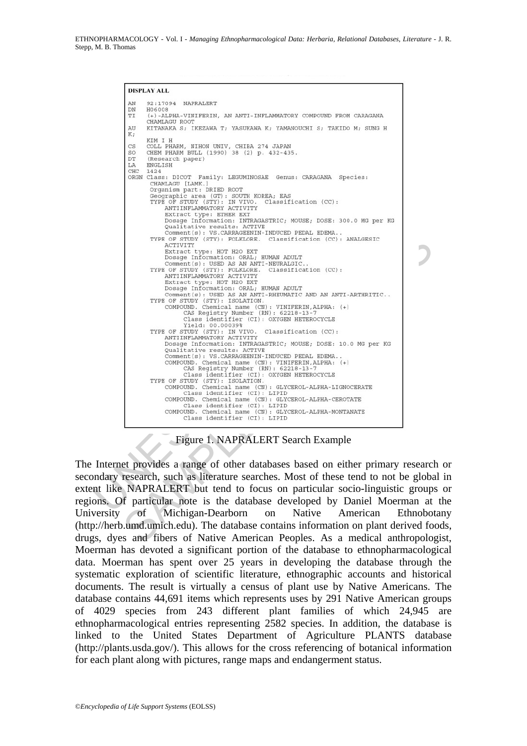#### **DISPLAY ALL**

| AN          |                                                                                                |  |
|-------------|------------------------------------------------------------------------------------------------|--|
|             | 92:17094 NAPRALERT                                                                             |  |
| DN<br>TI    | H06008<br>(+)-ALPHA-VINIFERIN, AN ANTI-INFLAMMATORY COMPOUND FROM CARAGANA                     |  |
|             | CHAMLAGU ROOT                                                                                  |  |
| AU<br>K;    | KITANAKA S; IKEZAWA T; YASUKAWA K; YAMANOUCHI S; TAKIDO M; SUNG H                              |  |
|             | KIM I H                                                                                        |  |
| CS<br>SO    | COLL PHARM, NIHON UNIV, CHIBA 274 JAPAN<br>CHEM PHARM BULL (1990) 38 (2) p. 432-435.           |  |
| $_{\rm DT}$ | (Research paper)                                                                               |  |
| LA<br>CHC   | <b>ENGLISH</b><br>1424                                                                         |  |
|             | ORGN Class: DICOT Family: LEGUMINOSAE Genus: CARAGANA Species:                                 |  |
|             | CHAMLAGU [LAMK.]<br>Organism part: DRIED ROOT                                                  |  |
|             | Geographic area (GT): SOUTH KOREA; EAS                                                         |  |
|             | TYPE OF STUDY (STY): IN VIVO.<br>Classification (CC):<br>ANTIINFLAMMATORY ACTIVITY             |  |
|             | Extract type: ETHER EXT                                                                        |  |
|             | Dosage Information: INTRAGASTRIC; MOUSE; DOSE: 300.0 MG per KG<br>Qualitative results: ACTIVE  |  |
|             | Comment (s): VS. CARRAGEENIN-INDUCED PEDAL EDEMA                                               |  |
|             | TYPE OF STUDY (STY): FOLKLORE. Classification (CC): ANALGESIC<br>ACTIVITY                      |  |
|             | Extract type: HOT H2O EXT                                                                      |  |
|             | Dosage Information: ORAL; HUMAN ADULT<br>Comment (s): USED AS AN ANTI-NEURALGIC                |  |
|             | TYPE OF STUDY (STY): FOLKLORE.<br>Classification (CC):                                         |  |
|             | ANTIINFLAMMATORY ACTIVITY<br>Extract type: HOT H2O EXT                                         |  |
|             | Dosage Information: ORAL; HUMAN ADULT                                                          |  |
|             | Comment(s): USED AS AN ANTI-RHEUMATIC AND AN ANTI-ARTHRITIC<br>TYPE OF STUDY (STY): ISOLATION. |  |
|             | COMPOUND. Chemical name (CN): VINIFERIN, ALPHA: (+)                                            |  |
|             | CAS Registry Number (RN): 62218-13-7<br>Class identifier (CI): OXYGEN HETEROCYCLE              |  |
|             | Yield: 00.00039%                                                                               |  |
|             | TYPE OF STUDY (STY): IN VIVO. Classification (CC):<br>ANTIINFLAMMATORY ACTIVITY                |  |
|             | Dosage Information: INTRAGASTRIC; MOUSE; DOSE: 10.0 MG per KG                                  |  |
|             | Qualitative results: ACTIVE<br>Comment (s): VS. CARRAGEENIN-INDUCED PEDAL EDEMA.               |  |
|             | COMPOUND. Chemical name (CN): VINIFERIN, ALPHA: (+)                                            |  |
|             | CAS Registry Number (RN): 62218-13-7<br>Class identifier (CI): OXYGEN HETEROCYCLE              |  |
|             | TYPE OF STUDY (STY): ISOLATION.                                                                |  |
|             | COMPOUND. Chemical name (CN): GLYCEROL-ALPHA-LIGNOCERATE<br>Class identifier (CI): LIPID       |  |
|             | COMPOUND. Chemical name (CN): GLYCEROL-ALPHA-CEROTATE                                          |  |
|             | Class identifier (CI): LIPID<br>COMPOUND. Chemical name (CN): GLYCEROL-ALPHA-MONTANATE         |  |
|             |                                                                                                |  |

Figure 1. NAPRALERT Search Example

The Internet provides a range of other databases based on either primary research or secondary research, such as literature searches. Most of these tend to not be global in extent like NAPRALERT but tend to focus on particular socio-linguistic groups or regions. Of particular note is the database developed by Daniel Moerman at the University of Michigan-Dearborn on Native American Ethnobotany (http://herb.umd.umich.edu). The database contains information on plant derived foods, drugs, dyes and fibers of Native American Peoples. As a medical anthropologist, Moerman has devoted a significant portion of the database to ethnopharmacological data. Moerman has spent over 25 years in developing the database through the systematic exploration of scientific literature, ethnographic accounts and historical documents. The result is virtually a census of plant use by Native Americans. The database contains 44,691 items which represents uses by 291 Native American groups of 4029 species from 243 different plant families of which 24,945 are ethnopharmacological entries representing 2582 species. In addition, the database is linked to the United States Department of Agriculture PLANTS database (http://plants.usda.gov/). This allows for the cross referencing of botanical information for each plant along with pictures, range maps and endangerment status.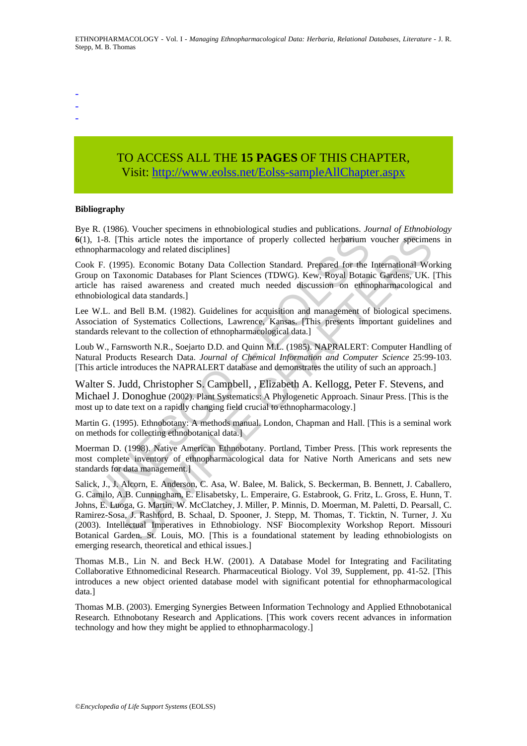-

- -

## TO ACCESS ALL THE **15 PAGES** OF THIS CHAPTER, Visit[: http://www.eolss.net/Eolss-sampleAllChapter.aspx](https://www.eolss.net/ebooklib/sc_cart.aspx?File=E6-79-07)

#### **Bibliography**

Bye R. (1986). Voucher specimens in ethnobiological studies and publications. *Journal of Ethnobiology* **6**(1), 1-8. [This article notes the importance of properly collected herbarium voucher specimens in ethnopharmacology and related disciplines]

1-8. [This article notes the importance of properly collected herbarium opharmacology and related disciplines]<br>
U. F. (1995). Economic Batawas for Plant Sciences (TDWG). Kew, Royal Botanie e has raised awareness and create Cook F. (1995). Economic Botany Data Collection Standard. Prepared for the International Working Group on Taxonomic Databases for Plant Sciences (TDWG). Kew, Royal Botanic Gardens, UK. [This article has raised awareness and created much needed discussion on ethnopharmacological and ethnobiological data standards.]

Lee W.L. and Bell B.M. (1982). Guidelines for acquisition and management of biological specimens. Association of Systematics Collections, Lawrence, Kansas. [This presents important guidelines and standards relevant to the collection of ethnopharmacological data.]

Loub W., Farnsworth N.R., Soejarto D.D. and Quinn M.L. (1985). NAPRALERT: Computer Handling of Natural Products Research Data. *Journal of Chemical Information and Computer Science* 25:99-103. [This article introduces the NAPRALERT database and demonstrates the utility of such an approach.]

Walter S. Judd, Christopher S. Campbell, , Elizabeth A. Kellogg, Peter F. Stevens, and Michael J. Donoghue (2002). Plant Systematics: A Phylogenetic Approach. Sinaur Press. [This is the most up to date text on a rapidly changing field crucial to ethnopharmacology.]

Martin G. (1995). Ethnobotany: A methods manual. London, Chapman and Hall. [This is a seminal work on methods for collecting ethnobotanical data.]

Moerman D. (1998). Native American Ethnobotany. Portland, Timber Press. [This work represents the most complete inventory of ethnopharmacological data for Native North Americans and sets new standards for data management.]

Friedrich and Samella Christopher Samella Christopher and Samella Christopher Samella (Biggard Christopher Shis aritie hotes the importance of properly collected herbarium voucher specime<br>cology and related disciplines]<br>SA Salick, J., J. Alcorn, E. Anderson, C. Asa, W. Balee, M. Balick, S. Beckerman, B. Bennett, J. Caballero, G. Camilo, A.B. Cunningham, E. Elisabetsky, L. Emperaire, G. Estabrook, G. Fritz, L. Gross, E. Hunn, T. Johns, E. Luoga, G. Martin, W. McClatchey, J. Miller, P. Minnis, D. Moerman, M. Paletti, D. Pearsall, C. Ramirez-Sosa, J. Rashford, B. Schaal, D. Spooner, J. Stepp, M. Thomas, T. Ticktin, N. Turner, J. Xu (2003). Intellectual Imperatives in Ethnobiology. NSF Biocomplexity Workshop Report. Missouri Botanical Garden. St. Louis, MO. [This is a foundational statement by leading ethnobiologists on emerging research, theoretical and ethical issues.]

Thomas M.B., Lin N. and Beck H.W. (2001). A Database Model for Integrating and Facilitating Collaborative Ethnomedicinal Research. Pharmaceutical Biology. Vol 39, Supplement, pp. 41-52. [This introduces a new object oriented database model with significant potential for ethnopharmacological data.]

Thomas M.B. (2003). Emerging Synergies Between Information Technology and Applied Ethnobotanical Research. Ethnobotany Research and Applications. [This work covers recent advances in information technology and how they might be applied to ethnopharmacology.]